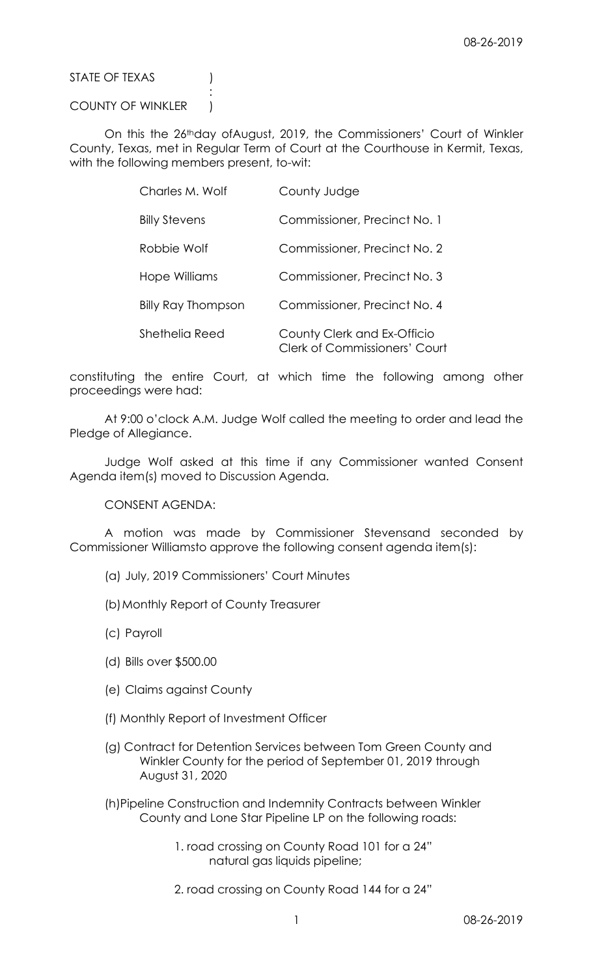STATE OF TEXAS (1)

## COUNTY OF WINKLER )

**Service State State State State** 

 On this the 26thday ofAugust, 2019, the Commissioners' Court of Winkler County, Texas, met in Regular Term of Court at the Courthouse in Kermit, Texas, with the following members present, to-wit:

| Charles M. Wolf           | County Judge                                                        |
|---------------------------|---------------------------------------------------------------------|
| <b>Billy Stevens</b>      | Commissioner, Precinct No. 1                                        |
| Robbie Wolf               | Commissioner, Precinct No. 2                                        |
| Hope Williams             | Commissioner, Precinct No. 3                                        |
| <b>Billy Ray Thompson</b> | Commissioner, Precinct No. 4                                        |
| Shethelia Reed            | County Clerk and Ex-Officio<br><b>Clerk of Commissioners' Court</b> |

constituting the entire Court, at which time the following among other proceedings were had:

 At 9:00 o'clock A.M. Judge Wolf called the meeting to order and lead the Pledge of Allegiance.

 Judge Wolf asked at this time if any Commissioner wanted Consent Agenda item(s) moved to Discussion Agenda.

CONSENT AGENDA:

 A motion was made by Commissioner Stevensand seconded by Commissioner Williamsto approve the following consent agenda item(s):

- (a) July, 2019 Commissioners' Court Minutes
- (b)Monthly Report of County Treasurer
- (c) Payroll
- (d) Bills over \$500.00
- (e) Claims against County
- (f) Monthly Report of Investment Officer
- (g) Contract for Detention Services between Tom Green County and Winkler County for the period of September 01, 2019 through August 31, 2020
- (h)Pipeline Construction and Indemnity Contracts between Winkler County and Lone Star Pipeline LP on the following roads:
	- 1. road crossing on County Road 101 for a 24" natural gas liquids pipeline;
	- 2. road crossing on County Road 144 for a 24"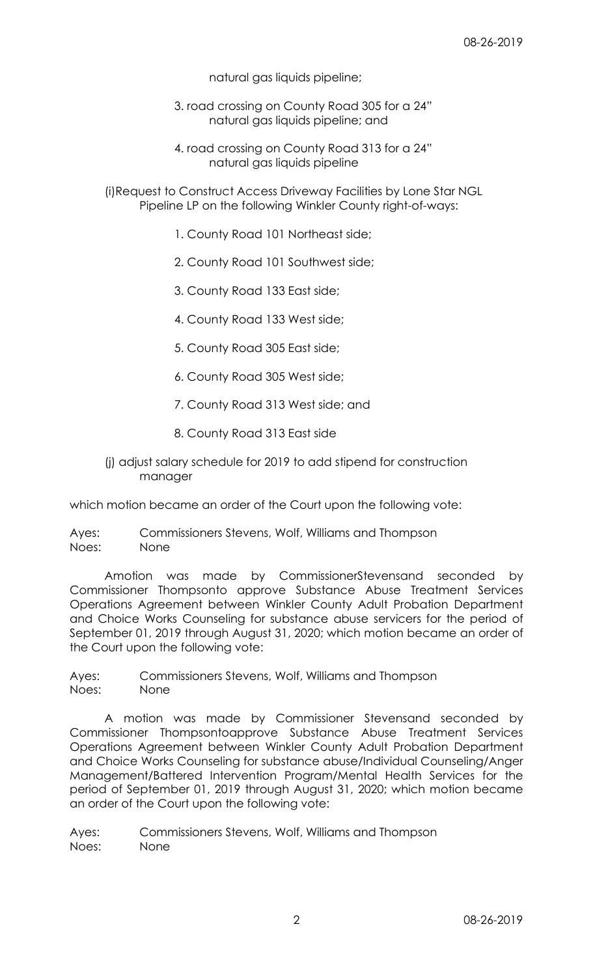natural gas liquids pipeline;

 3. road crossing on County Road 305 for a 24" natural gas liquids pipeline; and

 4. road crossing on County Road 313 for a 24" natural gas liquids pipeline

 (i)Request to Construct Access Driveway Facilities by Lone Star NGL Pipeline LP on the following Winkler County right-of-ways:

- 1. County Road 101 Northeast side;
- 2. County Road 101 Southwest side;
- 3. County Road 133 East side;
- 4. County Road 133 West side;
- 5. County Road 305 East side;
- 6. County Road 305 West side;
- 7. County Road 313 West side; and
- 8. County Road 313 East side

# (j) adjust salary schedule for 2019 to add stipend for construction manager

which motion became an order of the Court upon the following vote:

Ayes: Commissioners Stevens, Wolf, Williams and Thompson Noes: None

 Amotion was made by CommissionerStevensand seconded by Commissioner Thompsonto approve Substance Abuse Treatment Services Operations Agreement between Winkler County Adult Probation Department and Choice Works Counseling for substance abuse servicers for the period of September 01, 2019 through August 31, 2020; which motion became an order of the Court upon the following vote:

Ayes: Commissioners Stevens, Wolf, Williams and Thompson Noes: None

 A motion was made by Commissioner Stevensand seconded by Commissioner Thompsontoapprove Substance Abuse Treatment Services Operations Agreement between Winkler County Adult Probation Department and Choice Works Counseling for substance abuse/Individual Counseling/Anger Management/Battered Intervention Program/Mental Health Services for the period of September 01, 2019 through August 31, 2020; which motion became an order of the Court upon the following vote:

Ayes: Commissioners Stevens, Wolf, Williams and Thompson Noes: None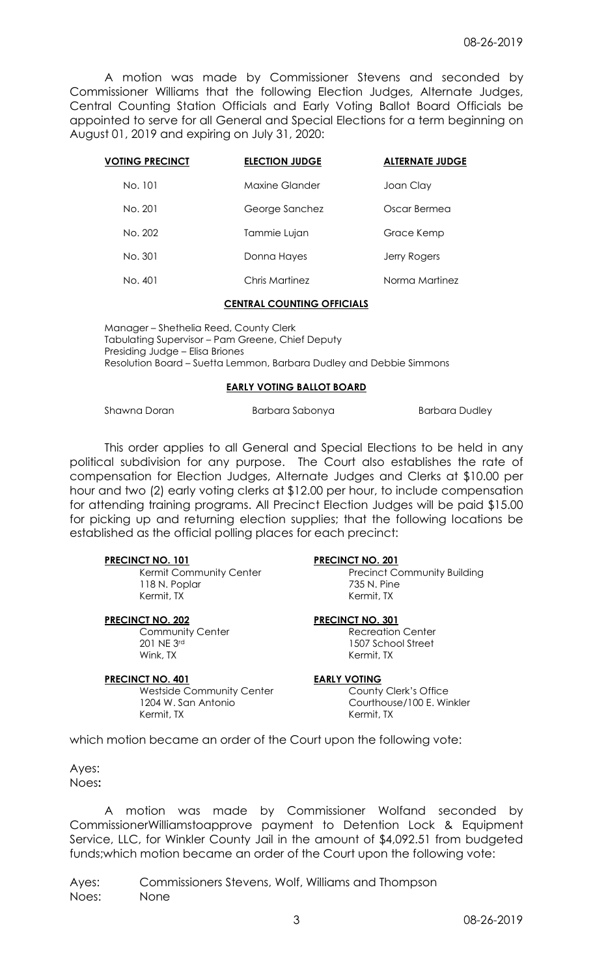A motion was made by Commissioner Stevens and seconded by Commissioner Williams that the following Election Judges, Alternate Judges, Central Counting Station Officials and Early Voting Ballot Board Officials be appointed to serve for all General and Special Elections for a term beginning on August 01, 2019 and expiring on July 31, 2020:

| <b>VOTING PRECINCT</b> | <b>ELECTION JUDGE</b> | <b>ALTERNATE JUDGE</b> |
|------------------------|-----------------------|------------------------|
| No. 101                | Maxine Glander        | Joan Clay              |
| No. 201                | George Sanchez        | Oscar Bermea           |
| No. 202                | Tammie Lujan          | Grace Kemp             |
| No. 301                | Donna Hayes           | Jerry Rogers           |
| No. 401                | Chris Martinez        | Norma Martinez         |

### CENTRAL COUNTING OFFICIALS

 Manager – Shethelia Reed, County Clerk Tabulating Supervisor – Pam Greene, Chief Deputy Presiding Judge – Elisa Briones Resolution Board – Suetta Lemmon, Barbara Dudley and Debbie Simmons

### EARLY VOTING BALLOT BOARD

Shawna Doran **Barbara Sabonya** Barbara Dudley

 This order applies to all General and Special Elections to be held in any political subdivision for any purpose. The Court also establishes the rate of compensation for Election Judges, Alternate Judges and Clerks at \$10.00 per hour and two (2) early voting clerks at \$12.00 per hour, to include compensation for attending training programs. All Precinct Election Judges will be paid \$15.00 for picking up and returning election supplies; that the following locations be established as the official polling places for each precinct:

118 N. Poplar 235 N. Pine Kermit, TX Kermit, TX

201 NE 3rd 1507 School Street<br>
Wink. TX 1507 School Street

### PRECINCT NO. 401 EARLY VOTING

Westside Community Center **County County Clerk's Office**  1204 W. San Antonio Courthouse/100 E. Winkler Kermit, TX Kermit, TX

## PRECINCT NO. 101 PRECINCT NO. 201

Kermit Community Center **Precinct Community Building** 

### PRECINCT NO. 202 PRECINCT NO. 301

Community Center **Recreation Center** Recreation Center Kermit, TX

which motion became an order of the Court upon the following vote:

Ayes: Noes:

 A motion was made by Commissioner Wolfand seconded by CommissionerWilliamstoapprove payment to Detention Lock & Equipment Service, LLC, for Winkler County Jail in the amount of \$4,092.51 from budgeted funds;which motion became an order of the Court upon the following vote:

Ayes: Commissioners Stevens, Wolf, Williams and Thompson Noes: None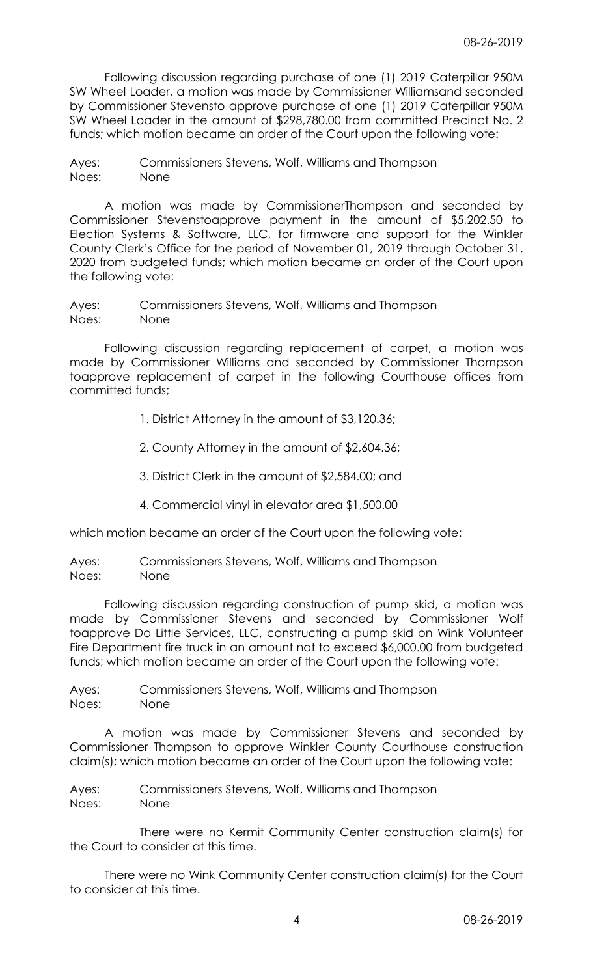Following discussion regarding purchase of one (1) 2019 Caterpillar 950M SW Wheel Loader, a motion was made by Commissioner Williamsand seconded by Commissioner Stevensto approve purchase of one (1) 2019 Caterpillar 950M SW Wheel Loader in the amount of \$298,780.00 from committed Precinct No. 2 funds; which motion became an order of the Court upon the following vote:

Ayes: Commissioners Stevens, Wolf, Williams and Thompson Noes: None

 A motion was made by CommissionerThompson and seconded by Commissioner Stevenstoapprove payment in the amount of \$5,202.50 to Election Systems & Software, LLC, for firmware and support for the Winkler County Clerk's Office for the period of November 01, 2019 through October 31, 2020 from budgeted funds; which motion became an order of the Court upon the following vote:

Ayes: Commissioners Stevens, Wolf, Williams and Thompson Noes: None

 Following discussion regarding replacement of carpet, a motion was made by Commissioner Williams and seconded by Commissioner Thompson toapprove replacement of carpet in the following Courthouse offices from committed funds;

- 1. District Attorney in the amount of \$3,120.36;
- 2. County Attorney in the amount of \$2,604.36;
- 3. District Clerk in the amount of \$2,584.00; and
- 4. Commercial vinyl in elevator area \$1,500.00

which motion became an order of the Court upon the following vote:

Ayes: Commissioners Stevens, Wolf, Williams and Thompson Noes: None

 Following discussion regarding construction of pump skid, a motion was made by Commissioner Stevens and seconded by Commissioner Wolf toapprove Do Little Services, LLC, constructing a pump skid on Wink Volunteer Fire Department fire truck in an amount not to exceed \$6,000.00 from budgeted funds; which motion became an order of the Court upon the following vote:

Ayes: Commissioners Stevens, Wolf, Williams and Thompson Noes: None

 A motion was made by Commissioner Stevens and seconded by Commissioner Thompson to approve Winkler County Courthouse construction claim(s); which motion became an order of the Court upon the following vote:

Ayes: Commissioners Stevens, Wolf, Williams and Thompson Noes: None

 There were no Kermit Community Center construction claim(s) for the Court to consider at this time.

 There were no Wink Community Center construction claim(s) for the Court to consider at this time.